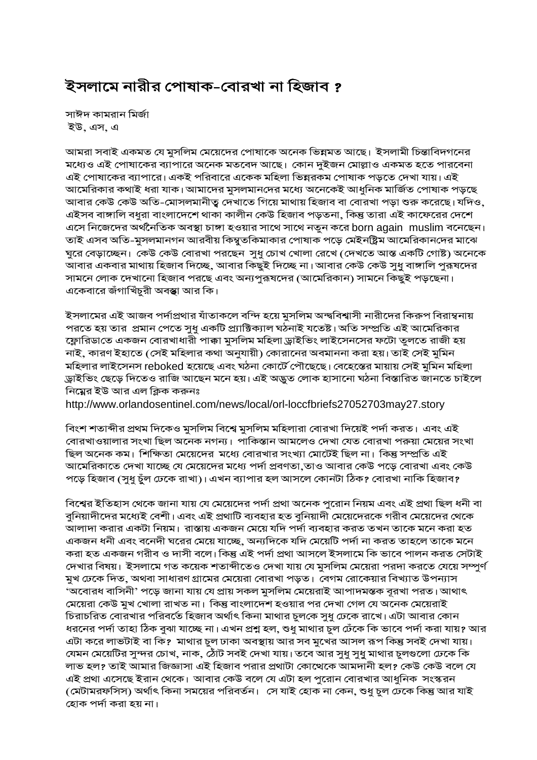## ইসলামে নারীর পোষাক-বোরখা না হিজাব ?

সাঈদ কামরান মির্জা ইউ, এস, এ

আমরা সবাই একমত যে মুসলিম মেয়েদের পোষাকে অনেক ভিন্নমত আছে। ইসলামী চিন্তাবিদগনের মধ্যেও এই পোষাকের ব্যাপারে অনেক মতবেদ আছে। কোন দুইজন মোল্লাও একমত হতে পারবেনা এই পোষাকের ব্যাপারে। একই পরিবারে একেক মহিলা ভিন্নরকম পোষাক পড়তে দেখা যায়। এই আমেরিকার কথাই ধরা যাক। আমাদের মুসলমানদের মধ্যে অনেকেই আধুনিক মার্জিত পোষাক পড়ছে আবার কেউ কেউ অতি-মোসলমানীত্ব দেখাতে গিয়ে মাথায় হিজাব বা বোরখা পড়া শুরু করেছে। যদিও, এইসব বাঙ্গালি বধুরা বাংলাদেশে থাকা কালীন কেউ হিজাব পড়তনা, কিন্তু তারা এই কাফেরের দেশে এসে নিজেদের অর্থনৈতিক অবস্থা চাঙ্গা হওয়ার সাথে সাথে নতুন করে born again muslim বনেছেন। তাই এসব অতি-মুসলমানগন আরবীয় কিম্বুতকিমাকার পোষাক পড়ে মেইনষ্ট্রিম আমেরিকানদের মাঝে ঘুরে বেড়াচ্ছেন। কেউ কেউ বোরখা পরছেন সুধু চোখ খোলা রেখে (দেখতে আস্ত একটি গোষ্ট) অনেকে আবার একবার মাথায় হিজাব দিচ্ছে, আবার কিছুই দিচ্ছে না। আবার কেউ কেউ সুধু বাঙ্গালি পুরূষদের সামনে লোক দেখানো হিজাব পরছে এবং অন্যপুরূষদের (আমেরিকান) সামনে কিছুই পড়ছেনা। একেবারে জঁগাখিঁচুরী অবস্থা আর কি।

ইসলামের এই আজব পর্দাপ্রথার যাঁতাকলে বন্দি হয়ে মুসলিম অন্দ্ববিশ্বাসী নারীদের কিরুপ বিরাম্বনায় পরতে হয় তার প্রমান পেতে সুধু একটি প্র্যাক্টিক্যাল ঘঠনাই যতেষ্ট। অতি সম্প্রতি এই আমেরিকার ফ্লোরিডাতে একজন বোরখাধারী পাক্কা মুসলিম মহিলা ড্রাইভিং লাইসেনসের ফটো তুলতে রাজী হয় নাই, কারণ ইহাতে (সেই মহিলার কথা অনুযায়ী) কোরানের অবমাননা করা হয়। তাই সেই মুমিন মহিলার লাইসেনস reboked হয়েছে এবং ঘঠনা কোর্টে পৌছেছে। বেহেস্তের মায়ায় সেই মুমিন মহিলা ড্ৰাইভিং ছেড়ে দিতেও রাজি আছেন মনে হয়। এই অদ্ভুত লোক হাসানো ঘঠনা বিস্তারিত জানতে চাইলে নিম্নের ইউ আর এল ক্লিক করুনঃ

http://www.orlandosentinel.com/news/local/orl-loccfbriefs27052703may27.story

বিংশ শতাব্দীর প্রথম দিকেও মুসলিম বিশ্বে মুসলিম মহিলারা বোরখা দিয়েই পর্দা করত। এবং এই বোরখাওয়ালার সংখা ছিল অনেক নগন্য। পাকিস্তান আমলেও দেখা যেত বোরখা পরুয়া মেয়ের সংখা ছিল অনেক কম। শিক্ষিতা মেয়েদের মধ্যে বোরখার সংখ্যা মোটেই ছিল না। কিন্তু সম্প্রতি এই আমেরিকাতে দেখা যাচ্ছে যে মেয়েদের মধ্যে পর্দা প্রবণতা,তাও আবার কেউ পড়ে বোরখা এবং কেউ পড়ে হিজাব (সুধু চুঁল ঢেকে রাখা)। এখন ব্যাপার হল আসলে কোনটা ঠিক? বোরখা নাকি হিজাব?

বিশ্বের ইতিহাস থেকে জানা যায় যে মেয়েদের পর্দা প্রথা অনেক পুরোন নিয়ম এবং এই প্রথা ছিল ধনী বা বুনিয়াদীদের মধ্যেই বেশী। এবং এই প্রথাটি ব্যবহার হত বুনিয়াদী মেয়েদেরকে গরীব মেয়েদের থেকে আলাদা করার একটা নিয়ম। রাস্তায় একজন মেয়ে যদি পর্দা ব্যবহার করত তখন তাকে মনে করা হত একজন ধনী এবং বনেদী ঘরের মেয়ে যাচ্ছে, অন্যদিকে যদি মেয়েটি পর্দা না করত তাহলে তাকে মনে করা হত একজন গরীব ও দাসী বলে। কিন্তু এই পর্দা প্রথা আসলে ইসলামে কি ভাবে পালন করত সেটাই দেখার বিষয়। ইসলামে গত কয়েক শতাব্দীতেও দেখা যায় যে মুসলিম মেয়েরা পরদা করতে যেয়ে সম্পুর্ণ মুখ ঢেকে দিত, অথবা সাধারণ গ্রামের মেয়েরা বোরখা পড়ত। বেগম রোকেয়ার বিখ্যাত উপন্যাস 'অবোরধ বাসিনী' পড়ে জানা যায় যে প্রায় সকল মুসলিম মেয়েরাই আপাদমস্তক বূরখা পরত। আথাৎ মেয়েরা কেউ মুখ খোলা রাখত না। কিন্তু বাংলাদেশ হওয়ার পর দেখা গেল যে অনেক মেয়েরাই চিরাচরিত বোরখার পরিবর্তে হিজাব অর্থাৎ কিনা মাথার চুলকে সুধু ঢেকে রাখে। এটা আবার কোন ধরনের পর্দা তাহা ঠিক বুঝা যাচ্ছে না। এখন প্রশ্ন হল, শুধু মাথার চুল ঢেঁকে কি ভাবে পর্দা করা যায়? আর এটা করে লাভটাই বা কি? মাথার চুল ঢাকা অবস্থায় আর সব মুখের আসল রূপ কিন্তু সবই দেখা যায়। যেমন মেয়েটির সুন্দর চোখ, নাক, ঠোঁট সবই দেখা যায়। তবে আর সুধু সুধু মাথার চুলগুলো ঢেকে কি লাভ হল? তাই আমার জিজ্ঞাসা এই হিজাব পরার প্রথাটা কোখেকে আমদানী হল? কেউ কেউ বলে যে এই প্রথা এসেছে ইরান থেকে। আবার কেউ বলে যে এটা হল পুরোন বোরখার আধুনিক সংস্করন (মেটামরফসিস) অর্থাৎ কিনা সময়ের পরিবর্তন। সে যাই হোক না কেন, শুধু চুল ঢেকে কিন্তু আর যাই হোক পৰ্দা করা হয় না।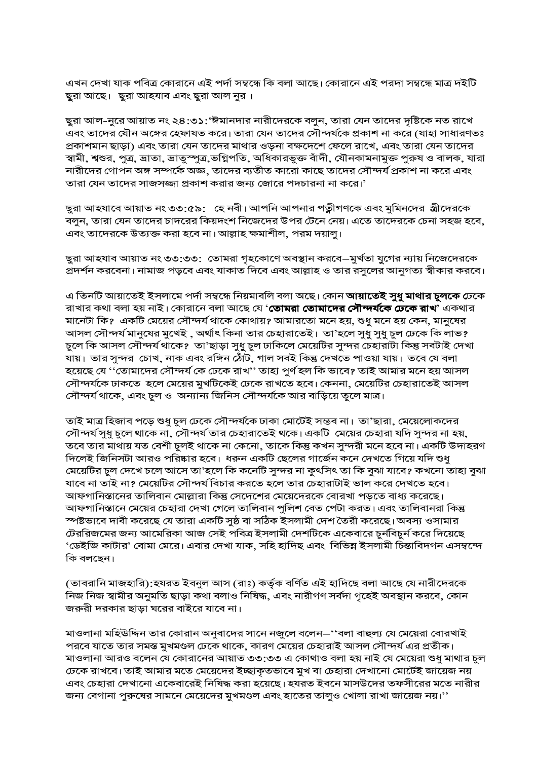এখন দেখা যাক পবিত্ৰ কোরানে এই পর্দা সম্বন্ধে কি বলা আছে। কোরানে এই পরদা সম্বন্ধে মাত্র দইটি ছুরা আছে। ছুরা আহযাব এবং ছুরা আল নুর।

ছুরা আল-নুরে আয়াত নং ২৪:৩১:'ঈমানদার নারীদেরকে বলুন, তারা যেন তাদের দৃষ্টিকে নত রাখে এবং তাদের যৌন অঙ্গের হেফাযত করে। তারা যেন তাদের সৌন্দর্যকে প্রকাশ না করে (যাহা সাধারণতঃ প্রকাশমান ছাড়া) এবং তারা যেন তাদের মাথার ওড়না বক্ষদেশে ফেলে রাখে, এবং তারা যেন তাদের স্বামী, শ্বশুর, পুত্র, ভ্রাতা, ভ্রাতুস্পুত্র,ভগ্নিপতি, অধিকারভুক্ত বাঁদী, যৌনকামনামুক্ত পুরুষ ও বালক, যারা নারীদের গোপন অঙ্গ সম্পর্কে অজ্ঞ, তাদের ব্যতীত কারো কাছে তাদের সৌন্দর্য প্রকাশ না করে এবং তারা যেন তাদের সাজসজ্জা প্রকাশ করার জন্য জোরে পদচারনা না করে।'

ছুরা আহযাবে আয়াত নং ৩৩:৫৯: হে নবী। আপনি আপনার পত্নীগণকে এবং মুমিনদের স্ত্রীদেরকে বলুন, তারা যেন তাদের চাদরের কিয়দংশ নিজেদের উপর টেনে নেয়। এতে তাদেরকে চেনা সহজ হবে, এবং তাদেরকে উত্যক্ত করা হবে না। আল্লাহ ক্ষমাশীল, পরম দয়ালু।

ছুরা আহযাব আয়াত নং ৩৩:৩৩: তোমরা গৃহকোণে অবস্থান করবে—মুর্খতা যুগের ন্যায় নিজেদেরকে প্রদর্শন করবেনা। নামাজ পড়বে এবং যাকাত দিবে এবং আল্লাহ ও তার রসুলের আনুগত্য স্বীকার করবে।

এ তিনটি আয়াতেই ইসলামে পৰ্দা সম্বন্ধে নিয়মাবলি বলা অছে। কোন **আয়াতেই সুধু মাথার চুলকে ঢে**কে রাখার কথা বলা হয় নাই। কোরানে বলা আছে যে '**তোমরা তোমাদের সৌন্দর্যকে ঢেকে রাখ**' একথার মানেটা কি? একটি মেয়ের সৌন্দর্য থাকে কোথায়? আমারতো মনে হয়, শুধু মনে হয় কেন, মানুষের আসল সৌন্দর্য মানুষের মুখেই , অর্থাৎ কিনা তার চেহারাতেই। তা'হলে সুধু সুধু চুল ঢেকে কি লাভ? চুলে কি আসল সৌন্দর্য থাকে? তা'ছাড়া সুধু চুল ঢাকিলে মেয়েটির সুন্দর চেহারাটা কিন্তু সবটাই দেখা যায়। তার সুন্দর চোখ, নাক এবং রঙ্গিন ঠোঁট, গাল সবই কিন্তু দেখতে পাওয়া যায়। তবে যে বলা হয়েছে যে ''তোমাদের সৌন্দর্য কে ঢেকে রাখ'' তাহা পুর্ণ হল কি ভাবে? তাই আমার মনে হয় আসল সৌন্দর্যকে ঢাকতে হলে মেয়ের মুখটিকেই ঢেকে রাখতে হবে। কেননা, মেয়েটির চেহারাতেই আসল সৌন্দর্য থাকে, এবং চুল ও অন্যান্য জিনিস সৌন্দর্যকে আর বাড়িয়ে তুলে মাত্র।

তাই মাত্র হিজাব পড়ে শুধু চুল ঢেকে সৌন্দর্যকে ঢাকা মোটেই সম্ভব না। তা'ছারা, মেয়েলোকদের সৌন্দর্য সুধু চুলে থাকে না, সৌন্দর্য তার চেহারাতেই থকে। একটি মেয়ের চেহারা যদি সুন্দর না হয়, তবে তার মাথায় যত বেশী চুলই থাকে না কেনো, তাকে কিন্তু কখন সুন্দরী মনে হবে না। একটি উদাহরণ দিলেই জিনিসটা আরও পরিষ্কার হবে। ধরুন একটি ছেলের গার্জেন কনে দেখতে গিয়ে যদি শুধু মেয়েটির চুল দেখে চলে আসে তা'হলে কি কনেটি সুন্দর না কুৎসিৎ তা কি বুঝা যাবে? কখনো তাহা বুঝা যাবে না তাই না? মেয়েটির সৌন্দর্য বিচার করতে হলে তার চেহারাটাই ভাল করে দেখতে হবে। আফগানিস্তানের তালিবান মোল্লারা কিন্তু সেদেশের মেয়েদেরকে বোরখা পড়তে বাধ্য করেছে। আফগানিস্তানে মেয়ের চেহারা দেখা গেলে তালিবান পুলিশ বেত পেটা করত। এবং তালিবানরা কিন্তু স্পষ্টভাবে দাবী করেছে যে তারা একটি সুষ্ঠ বা সঠিক ইসলামী দেশ তৈরী করেছে। অবস্য ওসামার টেররিজমের জন্য আমেরিকা আজ সেই পবিত্র ইসলামী দেশটিকে একেবারে চুর্নবিচুর্ন করে দিয়েছে 'ডেইজি কাটার' বোমা মেরে। এবার দেখা যাক, সহি হাদিছ এবং বিভিন্ন ইসলামী চিন্তাবিদগন এসম্বন্দে কি বলছেন।

(তাবরানি মাজহারি):হযরত ইবনুল আস (রাঃ) কর্তৃক বর্ণিত এই হাদিছে বলা আছে যে নারীদেরকে নিজ নিজ স্বামীর অনুমতি ছাড়া কথা বলাও নিষিদ্ধ, এবং নারীগণ সর্বদা গৃহেই অবস্থান করবে, কোন জরুরী দরকার ছাড়া ঘরের বাইরে যাবে না।

মাওলানা মহিউদ্দিন তার কোরান অনুবাদের সানে নজুলে বলেন–''বলা বাহুল্য যে মেয়েরা বোরখাই পরবে যাতে তার সমস্ত মুখমণ্ডল ঢেকে থাকে, কারণ মেয়ের চেহারাই আসল সৌন্দর্য এর প্রতীক। মাওলানা আরও বলেন যে কোরানের আয়াত ৩৩:৩৩ এ কোথাও বলা হয় নাই যে মেয়েরা শুধু মাথার চুল ঢেকে রাখবে। তাই আমার মতে মেয়েদের ইচ্ছাকৃতভাবে মুখ বা চেহারা দেখানো মোটেই জায়েজ নয় এবং চেহারা দেখানো একেবারেই নিষিদ্ধ করা হয়েছে। হযরত ইবনে মাসউদের তফসীরের মতে নারীর জন্য বেগানা পুরুষের সামনে মেয়েদের মুখমণ্ডল এবং হাতের তালুও খোলা রাখা জায়েজ নয়।''